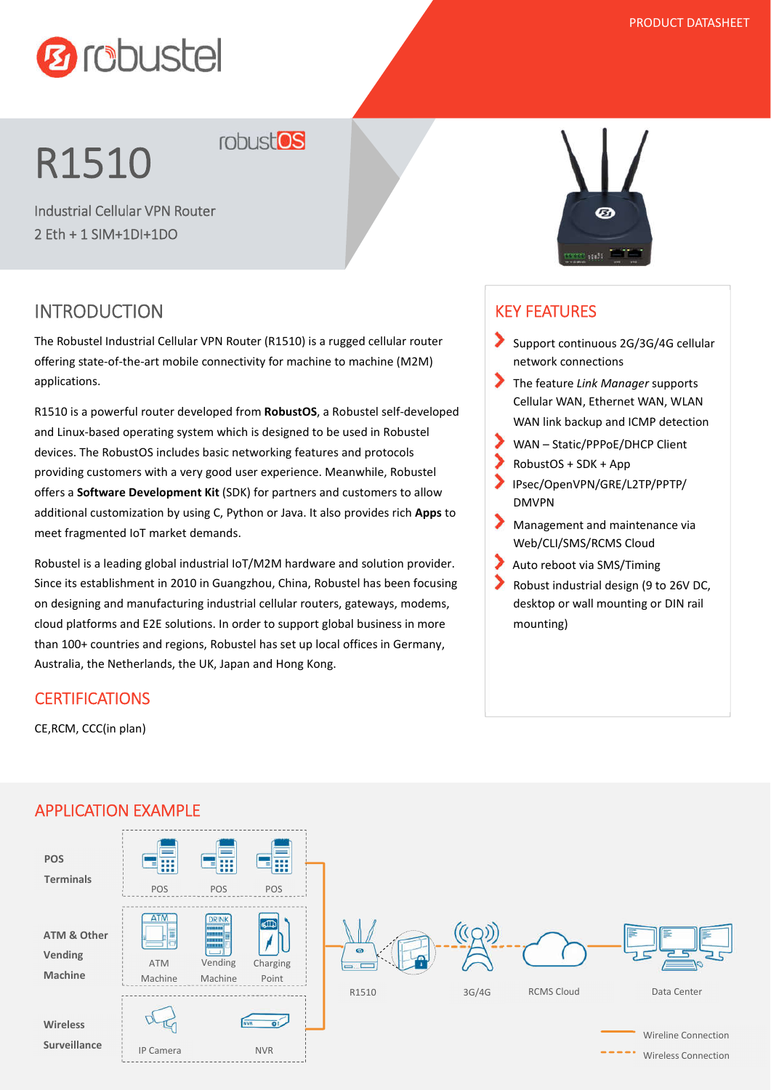

# R1510 robust<sup>os</sup>

2 Eth + 1 SIM+1DI+1DO

## INTRODUCTION

The Robustel Industrial Cellular VPN Router (R1510) is a rugged cellular router offering state-of-the-art mobile connectivity for machine to machine (M2M) applications.

R1510 is a powerful router developed from **RobustOS**, a Robustel self-developed and Linux-based operating system which is designed to be used in Robustel devices. The RobustOS includes basic networking features and protocols providing customers with a very good user experience. Meanwhile, Robustel offers a **Software Development Kit** (SDK) for partners and customers to allow additional customization by using C, Python or Java. It also provides rich **Apps** to meet fragmented IoT market demands.

Robustel is a leading global industrial IoT/M2M hardware and solution provider. Since its establishment in 2010 in Guangzhou, China, Robustel has been focusing on designing and manufacturing industrial cellular routers, gateways, modems, cloud platforms and E2E solutions. In order to support global business in more than 100+ countries and regions, Robustel has set up local offices in Germany, Australia, the Netherlands, the UK, Japan and Hong Kong.

#### **CERTIFICATIONS**

CE,RCM, CCC(in plan)



#### KEY FEATURES

- Support continuous 2G/3G/4G cellular network connections
- The feature *Link Manager* supports Cellular WAN, Ethernet WAN, WLAN WAN link backup and ICMP detection
- WAN Static/PPPoE/DHCP Client
- RobustOS + SDK + App
- IPsec/OpenVPN/GRE/L2TP/PPTP/ DMVPN
- Management and maintenance via Web/CLI/SMS/RCMS Cloud
- Auto reboot via SMS/Timing
- Robust industrial design (9 to 26V DC, desktop or wall mounting or DIN rail mounting)